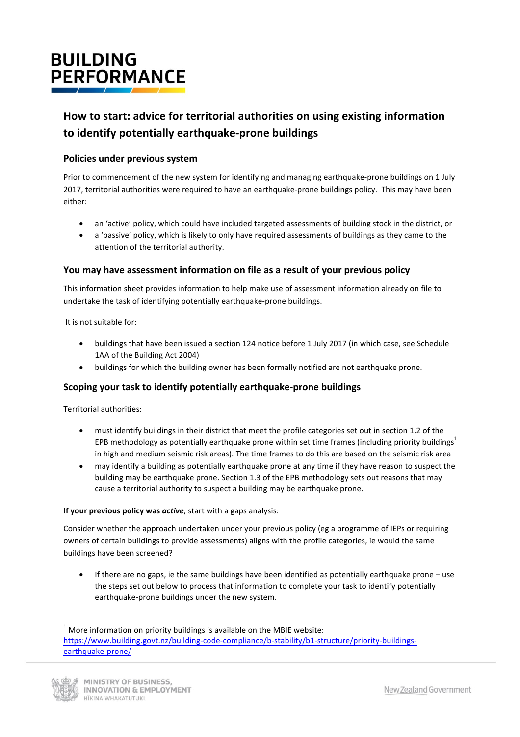# **BUILDING PERFORMANCE**

# How to start: advice for territorial authorities on using existing information to identify potentially earthquake-prone buildings

### **Policies under previous system**

Prior to commencement of the new system for identifying and managing earthquake-prone buildings on 1 July 2017, territorial authorities were required to have an earthquake-prone buildings policy. This may have been either: 

- an 'active' policy, which could have included targeted assessments of building stock in the district, or
- a 'passive' policy, which is likely to only have required assessments of buildings as they came to the attention of the territorial authority.

## **You may have assessment information on file as a result of your previous policy**

This information sheet provides information to help make use of assessment information already on file to undertake the task of identifying potentially earthquake-prone buildings.

It is not suitable for:

- buildings that have been issued a section 124 notice before 1 July 2017 (in which case, see Schedule 1AA of the Building Act 2004)
- buildings for which the building owner has been formally notified are not earthquake prone.

#### **Scoping your task to identify potentially earthquake-prone buildings**

Territorial authorities:

- must identify buildings in their district that meet the profile categories set out in section 1.2 of the EPB methodology as potentially earthquake prone within set time frames (including priority buildings<sup>1</sup> in high and medium seismic risk areas). The time frames to do this are based on the seismic risk area
- may identify a building as potentially earthquake prone at any time if they have reason to suspect the building may be earthquake prone. Section 1.3 of the EPB methodology sets out reasons that may cause a territorial authority to suspect a building may be earthquake prone.

#### **If your previous policy was** *active*, start with a gaps analysis:

Consider whether the approach undertaken under your previous policy (eg a programme of IEPs or requiring owners of certain buildings to provide assessments) aligns with the profile categories, ie would the same buildings have been screened?

If there are no gaps, ie the same buildings have been identified as potentially earthquake prone – use the steps set out below to process that information to complete your task to identify potentially earthquake-prone buildings under the new system.

<sup>&</sup>lt;u> 1989 - Johann Barn, mars eta bainar eta industrial eta baina eta baina eta baina eta baina eta baina eta bain</u>  $1$  More information on priority buildings is available on the MBIE website: https://www.building.govt.nz/building-code-compliance/b-stability/b1-structure/priority-buildingsearthquake-prone/

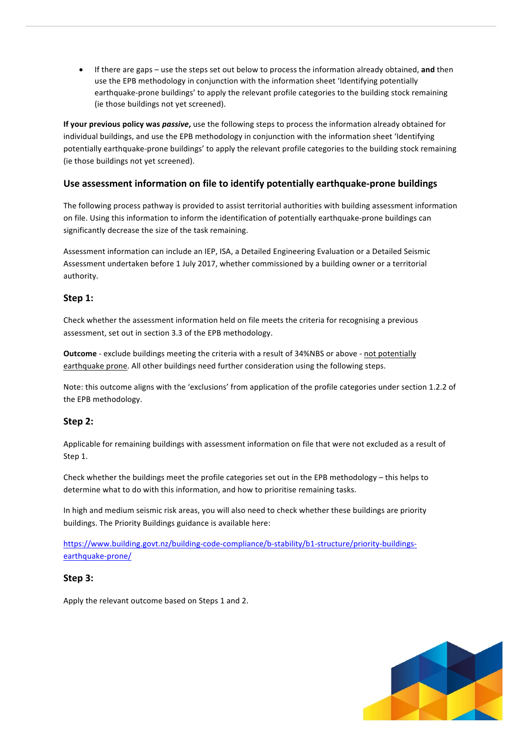• If there are gaps – use the steps set out below to process the information already obtained, and then use the EPB methodology in conjunction with the information sheet 'Identifying potentially earthquake-prone buildings' to apply the relevant profile categories to the building stock remaining (ie those buildings not yet screened).

**If your previous policy was** *passive*, use the following steps to process the information already obtained for individual buildings, and use the EPB methodology in conjunction with the information sheet 'Identifying potentially earthquake-prone buildings' to apply the relevant profile categories to the building stock remaining (ie those buildings not yet screened).

### Use assessment information on file to identify potentially earthquake-prone buildings

The following process pathway is provided to assist territorial authorities with building assessment information on file. Using this information to inform the identification of potentially earthquake-prone buildings can significantly decrease the size of the task remaining.

Assessment information can include an IEP, ISA, a Detailed Engineering Evaluation or a Detailed Seismic Assessment undertaken before 1 July 2017, whether commissioned by a building owner or a territorial authority. 

#### **Step 1:**

Check whether the assessment information held on file meets the criteria for recognising a previous assessment, set out in section 3.3 of the EPB methodology.

**Outcome** - exclude buildings meeting the criteria with a result of 34%NBS or above - not potentially earthquake prone. All other buildings need further consideration using the following steps.

Note: this outcome aligns with the 'exclusions' from application of the profile categories under section 1.2.2 of the EPB methodology.

#### **Step 2:**

Applicable for remaining buildings with assessment information on file that were not excluded as a result of Step 1.

Check whether the buildings meet the profile categories set out in the EPB methodology – this helps to determine what to do with this information, and how to prioritise remaining tasks.

In high and medium seismic risk areas, you will also need to check whether these buildings are priority buildings. The Priority Buildings guidance is available here:

https://www.building.govt.nz/building-code-compliance/b-stability/b1-structure/priority-buildingsearthquake-prone/

#### **Step 3:**

Apply the relevant outcome based on Steps 1 and 2.